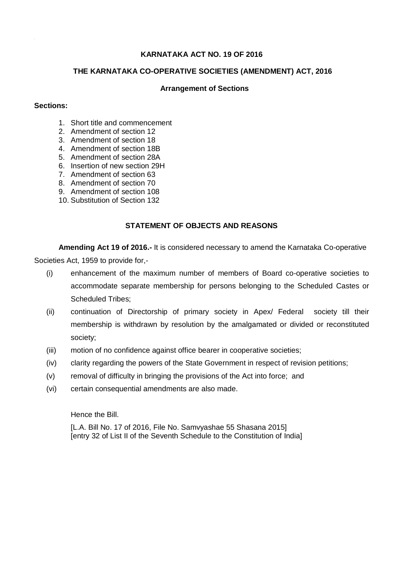# **KARNATAKA ACT NO. 19 OF 2016**

### **THE KARNATAKA CO-OPERATIVE SOCIETIES (AMENDMENT) ACT, 2016**

#### **Arrangement of Sections**

#### **Sections:**

- 1. Short title and commencement
- 2. Amendment of section 12
- 3. Amendment of section 18
- 4. Amendment of section 18B
- 5. Amendment of section 28A
- 6. Insertion of new section 29H
- 7. Amendment of section 63
- 8. Amendment of section 70
- 9. Amendment of section 108
- 10. Substitution of Section 132

# **STATEMENT OF OBJECTS AND REASONS**

**Amending Act 19 of 2016.-** It is considered necessary to amend the Karnataka Co-operative Societies Act, 1959 to provide for,-

- (i) enhancement of the maximum number of members of Board co-operative societies to accommodate separate membership for persons belonging to the Scheduled Castes or Scheduled Tribes;
- (ii) continuation of Directorship of primary society in Apex/ Federal society till their membership is withdrawn by resolution by the amalgamated or divided or reconstituted society;
- (iii) motion of no confidence against office bearer in cooperative societies;
- (iv) clarity regarding the powers of the State Government in respect of revision petitions;
- (v) removal of difficulty in bringing the provisions of the Act into force; and
- (vi) certain consequential amendments are also made.

Hence the Bill.

[L.A. Bill No. 17 of 2016, File No. Samvyashae 55 Shasana 2015] [entry 32 of List II of the Seventh Schedule to the Constitution of India]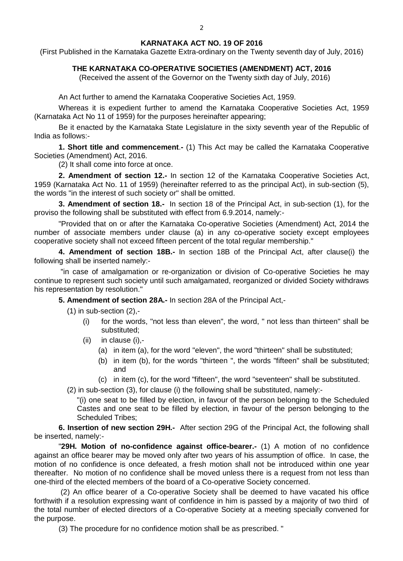## **KARNATAKA ACT NO. 19 OF 2016**

(First Published in the Karnataka Gazette Extra-ordinary on the Twenty seventh day of July, 2016)

# **THE KARNATAKA CO-OPERATIVE SOCIETIES (AMENDMENT) ACT, 2016**

(Received the assent of the Governor on the Twenty sixth day of July, 2016)

An Act further to amend the Karnataka Cooperative Societies Act, 1959.

Whereas it is expedient further to amend the Karnataka Cooperative Societies Act, 1959 (Karnataka Act No 11 of 1959) for the purposes hereinafter appearing;

Be it enacted by the Karnataka State Legislature in the sixty seventh year of the Republic of India as follows:-

**1. Short title and commencement**.**-** (1) This Act may be called the Karnataka Cooperative Societies (Amendment) Act, 2016.

(2) It shall come into force at once.

**2. Amendment of section 12.-** In section 12 of the Karnataka Cooperative Societies Act, 1959 (Karnataka Act No. 11 of 1959) (hereinafter referred to as the principal Act), in sub-section (5), the words "in the interest of such society or" shall be omitted.

**3. Amendment of section 18.-** In section 18 of the Principal Act, in sub-section (1), for the proviso the following shall be substituted with effect from 6.9.2014, namely:-

"Provided that on or after the Karnataka Co-operative Societies (Amendment) Act, 2014 the number of associate members under clause (a) in any co-operative society except employees cooperative society shall not exceed fifteen percent of the total regular membership."

**4. Amendment of section 18B.-** In section 18B of the Principal Act, after clause(i) the following shall be inserted namely:-

"in case of amalgamation or re-organization or division of Co-operative Societies he may continue to represent such society until such amalgamated, reorganized or divided Society withdraws his representation by resolution."

**5. Amendment of section 28A.-** In section 28A of the Principal Act,-

 $(1)$  in sub-section  $(2)$ ,-

- (i) for the words, "not less than eleven", the word, " not less than thirteen" shall be substituted;
- (ii) in clause (i),-
	- (a) in item (a), for the word "eleven", the word "thirteen" shall be substituted;
	- (b) in item (b), for the words "thirteen ", the words "fifteen" shall be substituted; and
	- (c) in item (c), for the word "fifteen", the word "seventeen" shall be substituted.

(2) in sub-section (3), for clause (i) the following shall be substituted, namely:-

"(i) one seat to be filled by election, in favour of the person belonging to the Scheduled Castes and one seat to be filled by election, in favour of the person belonging to the Scheduled Tribes;

**6. Insertion of new section 29H.-** After section 29G of the Principal Act, the following shall be inserted, namely:-

"**29H. Motion of no-confidence against office-bearer.-** (1) A motion of no confidence against an office bearer may be moved only after two years of his assumption of office. In case, the motion of no confidence is once defeated, a fresh motion shall not be introduced within one year thereafter. No motion of no confidence shall be moved unless there is a request from not less than one-third of the elected members of the board of a Co-operative Society concerned.

(2) An office bearer of a Co-operative Society shall be deemed to have vacated his office forthwith if a resolution expressing want of confidence in him is passed by a majority of two third of the total number of elected directors of a Co-operative Society at a meeting specially convened for the purpose.

(3) The procedure for no confidence motion shall be as prescribed. "